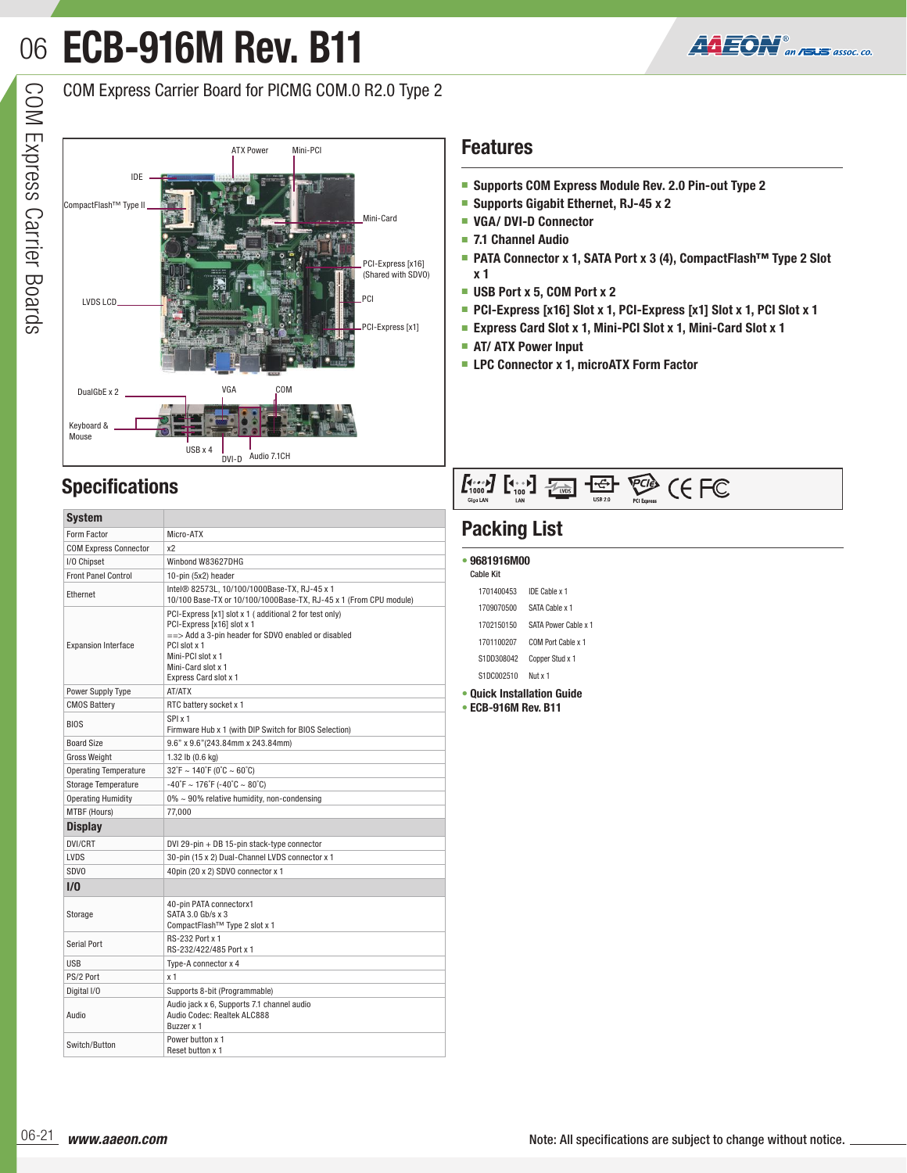# **ECB-916M Rev. B11** 06



COM Express Carrier Board for PICMG COM.0 R2.0 Type 2



## **Features**

- **Supports COM Express Module Rev. 2.0 Pin-out Type 2**
- **Supports Gigabit Ethernet, RJ-45 x 2**
- **VGA/ DVI-D Connector**
- **7.1 Channel Audio**
- **PATA Connector x 1, SATA Port x 3 (4), CompactFlash<sup>™</sup> Type 2 Slot x 1**
- **USB Port x 5, COM Port x 2**
- **PCI-Express [x16] Slot x 1, PCI-Express [x1] Slot x 1, PCI Slot x 1**
- **Express Card Slot x 1, Mini-PCI Slot x 1, Mini-Card Slot x 1**
- **AT/ ATX Power Input**
- **LPC Connector x 1, microATX Form Factor**

## **Specifications**

| <b>System</b>                |                                                                                                                                                                                                                                            |  |
|------------------------------|--------------------------------------------------------------------------------------------------------------------------------------------------------------------------------------------------------------------------------------------|--|
| Form Factor                  | Micro-ATX                                                                                                                                                                                                                                  |  |
| <b>COM Express Connector</b> | x2                                                                                                                                                                                                                                         |  |
| I/O Chipset                  | Winbond W83627DHG                                                                                                                                                                                                                          |  |
| <b>Front Panel Control</b>   | 10-pin (5x2) header                                                                                                                                                                                                                        |  |
| Ethernet                     | Intel® 82573L. 10/100/1000Base-TX. RJ-45 x 1<br>10/100 Base-TX or 10/100/1000Base-TX, RJ-45 x 1 (From CPU module)                                                                                                                          |  |
| <b>Expansion Interface</b>   | PCI-Express [x1] slot x 1 (additional 2 for test only)<br>PCI-Express [x16] slot x 1<br>$=\Rightarrow$ Add a 3-pin header for SDVO enabled or disabled<br>PCI slot x 1<br>Mini-PCI slot x 1<br>Mini-Card slot x 1<br>Express Card slot x 1 |  |
| Power Supply Type            | AT/ATX                                                                                                                                                                                                                                     |  |
| <b>CMOS Battery</b>          | RTC battery socket x 1                                                                                                                                                                                                                     |  |
| <b>BIOS</b>                  | SPI x 1<br>Firmware Hub x 1 (with DIP Switch for BIOS Selection)                                                                                                                                                                           |  |
| <b>Board Size</b>            | 9.6" x 9.6"(243.84mm x 243.84mm)                                                                                                                                                                                                           |  |
| <b>Gross Weight</b>          | 1.32 lb $(0.6 \text{ kg})$                                                                                                                                                                                                                 |  |
| <b>Operating Temperature</b> | $32°F \sim 140°F (0°C \sim 60°C)$                                                                                                                                                                                                          |  |
| <b>Storage Temperature</b>   | $-40^{\circ}$ F ~ 176 $^{\circ}$ F (-40 $^{\circ}$ C ~ 80 $^{\circ}$ C)                                                                                                                                                                    |  |
| <b>Operating Humidity</b>    | $0\% \sim 90\%$ relative humidity, non-condensing                                                                                                                                                                                          |  |
| MTBF (Hours)                 | 77.000                                                                                                                                                                                                                                     |  |
| <b>Display</b>               |                                                                                                                                                                                                                                            |  |
| DVI/CRT                      | DVI 29-pin + DB 15-pin stack-type connector                                                                                                                                                                                                |  |
| LVDS                         | 30-pin (15 x 2) Dual-Channel LVDS connector x 1                                                                                                                                                                                            |  |
| <b>SDVO</b>                  | 40pin (20 x 2) SDVO connector x 1                                                                                                                                                                                                          |  |
| 1/0                          |                                                                                                                                                                                                                                            |  |
| Storage                      | 40-pin PATA connectorx1<br>SATA 3.0 Gb/s x 3<br>CompactFlash <sup>™</sup> Type 2 slot x 1                                                                                                                                                  |  |
| <b>Serial Port</b>           | <b>RS-232 Port x 1</b><br>RS-232/422/485 Port x 1                                                                                                                                                                                          |  |
| <b>USB</b>                   | Type-A connector x 4                                                                                                                                                                                                                       |  |
| PS/2 Port                    | x <sub>1</sub>                                                                                                                                                                                                                             |  |
| Digital I/O                  | Supports 8-bit (Programmable)                                                                                                                                                                                                              |  |
| Audio                        | Audio jack x 6, Supports 7.1 channel audio<br>Audio Codec: Realtek ALC888<br>Buzzer x 1                                                                                                                                                    |  |
| Switch/Button                | Power button x 1<br>Reset button x 1                                                                                                                                                                                                       |  |

## $\underbrace{F_{1000}}_{\text{GigclAM}}\begin{bmatrix} F_{100} \\ F_{100} \end{bmatrix} \begin{bmatrix} F_{\text{CMS}} \\ F_{\text{CMS}} \end{bmatrix} \begin{bmatrix} -F_{\text{C}} \\ -F_{\text{CMS}} \end{bmatrix} \begin{bmatrix} F_{\text{CMS}} \\ F_{\text{C}} \end{bmatrix} \begin{bmatrix} F_{\text{C}} \\ F_{\text{C}} \end{bmatrix}$

## **Packing List**

| 9681916M00<br>Cable Kit         |                      |  |
|---------------------------------|----------------------|--|
| 1701400453                      | IDE Cable x 1        |  |
| 1709070500                      | SATA Cable x 1       |  |
| 1702150150                      | SATA Power Cable x 1 |  |
| 1701100207                      | COM Port Cable x 1   |  |
| S1DD308042                      | Copper Stud x 1      |  |
| S1DC002510                      | Nut x 1              |  |
| <b>Quick Installation Guide</b> |                      |  |

**• ECB-916M Rev. B11**